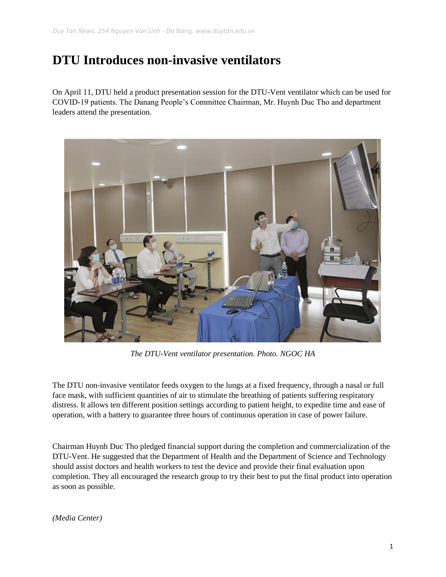## **DTU Introduces non-invasive ventilators**

On April 11, DTU held a product presentation session for the DTU-Vent ventilator which can be used for COVID-19 patients. The Danang People's Committee Chairman, Mr. Huynh Duc Tho and department leaders attend the presentation.



*The DTU-Vent ventilator presentation. Photo. NGOC HA*

The DTU non-invasive ventilator feeds oxygen to the lungs at a fixed frequency, through a nasal or full face mask, with sufficient quantities of air to stimulate the breathing of patients suffering respiratory distress. It allows ten different position settings according to patient height, to expedite time and ease of operation, with a battery to guarantee three hours of continuous operation in case of power failure.

Chairman Huynh Duc Tho pledged financial support during the completion and commercialization of the DTU-Vent. He suggested that the Department of Health and the Department of Science and Technology should assist doctors and health workers to test the device and provide their final evaluation upon completion. They all encouraged the research group to try their best to put the final product into operation as soon as possible.

*(Media Center)*